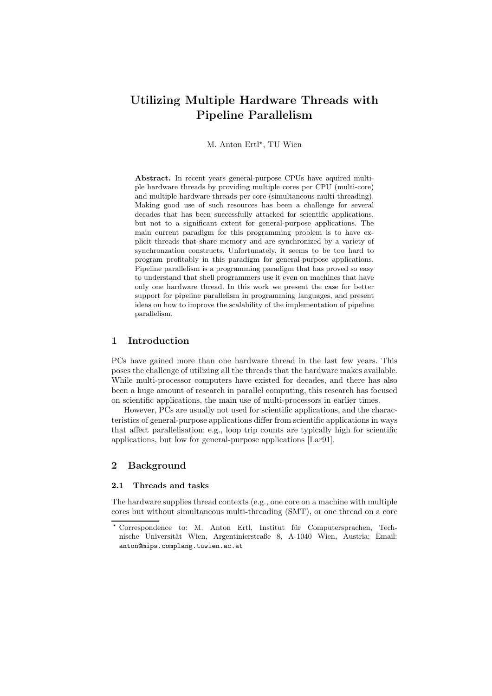# Utilizing Multiple Hardware Threads with Pipeline Parallelism

M. Anton Ertl<sup>\*</sup>, TU Wien

Abstract. In recent years general-purpose CPUs have aquired multiple hardware threads by providing multiple cores per CPU (multi-core) and multiple hardware threads per core (simultaneous multi-threading). Making good use of such resources has been a challenge for several decades that has been successfully attacked for scientific applications, but not to a significant extent for general-purpose applications. The main current paradigm for this programming problem is to have explicit threads that share memory and are synchronized by a variety of synchronzation constructs. Unfortunately, it seems to be too hard to program profitably in this paradigm for general-purpose applications. Pipeline parallelism is a programming paradigm that has proved so easy to understand that shell programmers use it even on machines that have only one hardware thread. In this work we present the case for better support for pipeline parallelism in programming languages, and present ideas on how to improve the scalability of the implementation of pipeline parallelism.

## 1 Introduction

PCs have gained more than one hardware thread in the last few years. This poses the challenge of utilizing all the threads that the hardware makes available. While multi-processor computers have existed for decades, and there has also been a huge amount of research in parallel computing, this research has focused on scientific applications, the main use of multi-processors in earlier times.

However, PCs are usually not used for scientific applications, and the characteristics of general-purpose applications differ from scientific applications in ways that affect parallelisation; e.g., loop trip counts are typically high for scientific applications, but low for general-purpose applications [Lar91].

# 2 Background

# 2.1 Threads and tasks

The hardware supplies thread contexts (e.g., one core on a machine with multiple cores but without simultaneous multi-threading (SMT), or one thread on a core

<sup>\*</sup> Correspondence to: M. Anton Ertl, Institut für Computersprachen, Technische Universität Wien, Argentinierstraße 8, A-1040 Wien, Austria; Email: anton@mips.complang.tuwien.ac.at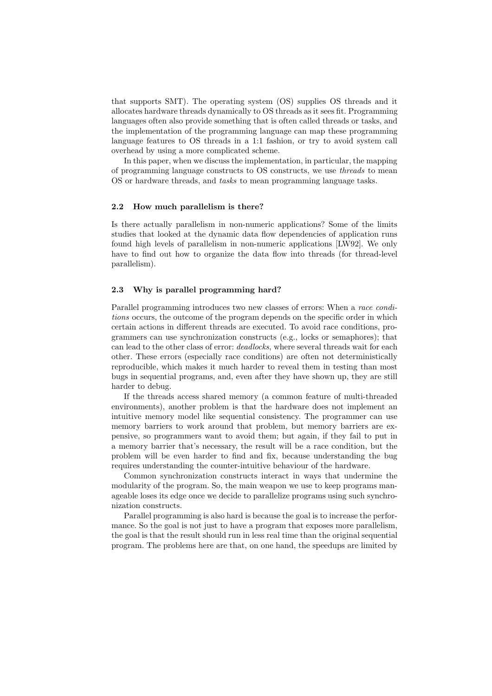that supports SMT). The operating system (OS) supplies OS threads and it allocates hardware threads dynamically to OS threads as it sees fit. Programming languages often also provide something that is often called threads or tasks, and the implementation of the programming language can map these programming language features to OS threads in a 1:1 fashion, or try to avoid system call overhead by using a more complicated scheme.

In this paper, when we discuss the implementation, in particular, the mapping of programming language constructs to OS constructs, we use threads to mean OS or hardware threads, and *tasks* to mean programming language tasks.

#### 2.2 How much parallelism is there?

Is there actually parallelism in non-numeric applications? Some of the limits studies that looked at the dynamic data flow dependencies of application runs found high levels of parallelism in non-numeric applications [LW92]. We only have to find out how to organize the data flow into threads (for thread-level parallelism).

#### 2.3 Why is parallel programming hard?

Parallel programming introduces two new classes of errors: When a race conditions occurs, the outcome of the program depends on the specific order in which certain actions in different threads are executed. To avoid race conditions, programmers can use synchronization constructs (e.g., locks or semaphores); that can lead to the other class of error: deadlocks, where several threads wait for each other. These errors (especially race conditions) are often not deterministically reproducible, which makes it much harder to reveal them in testing than most bugs in sequential programs, and, even after they have shown up, they are still harder to debug.

If the threads access shared memory (a common feature of multi-threaded environments), another problem is that the hardware does not implement an intuitive memory model like sequential consistency. The programmer can use memory barriers to work around that problem, but memory barriers are expensive, so programmers want to avoid them; but again, if they fail to put in a memory barrier that's necessary, the result will be a race condition, but the problem will be even harder to find and fix, because understanding the bug requires understanding the counter-intuitive behaviour of the hardware.

Common synchronization constructs interact in ways that undermine the modularity of the program. So, the main weapon we use to keep programs manageable loses its edge once we decide to parallelize programs using such synchronization constructs.

Parallel programming is also hard is because the goal is to increase the performance. So the goal is not just to have a program that exposes more parallelism, the goal is that the result should run in less real time than the original sequential program. The problems here are that, on one hand, the speedups are limited by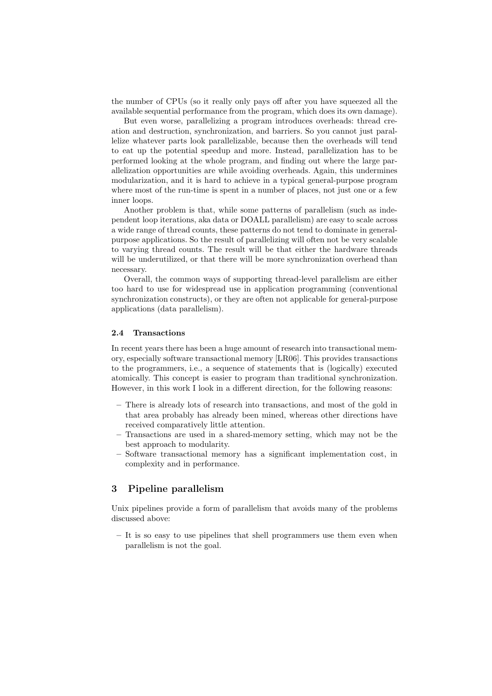the number of CPUs (so it really only pays off after you have squeezed all the available sequential performance from the program, which does its own damage).

But even worse, parallelizing a program introduces overheads: thread creation and destruction, synchronization, and barriers. So you cannot just parallelize whatever parts look parallelizable, because then the overheads will tend to eat up the potential speedup and more. Instead, parallelization has to be performed looking at the whole program, and finding out where the large parallelization opportunities are while avoiding overheads. Again, this undermines modularization, and it is hard to achieve in a typical general-purpose program where most of the run-time is spent in a number of places, not just one or a few inner loops.

Another problem is that, while some patterns of parallelism (such as independent loop iterations, aka data or DOALL parallelism) are easy to scale across a wide range of thread counts, these patterns do not tend to dominate in generalpurpose applications. So the result of parallelizing will often not be very scalable to varying thread counts. The result will be that either the hardware threads will be underutilized, or that there will be more synchronization overhead than necessary.

Overall, the common ways of supporting thread-level parallelism are either too hard to use for widespread use in application programming (conventional synchronization constructs), or they are often not applicable for general-purpose applications (data parallelism).

#### 2.4 Transactions

In recent years there has been a huge amount of research into transactional memory, especially software transactional memory [LR06]. This provides transactions to the programmers, i.e., a sequence of statements that is (logically) executed atomically. This concept is easier to program than traditional synchronization. However, in this work I look in a different direction, for the following reasons:

- There is already lots of research into transactions, and most of the gold in that area probably has already been mined, whereas other directions have received comparatively little attention.
- Transactions are used in a shared-memory setting, which may not be the best approach to modularity.
- Software transactional memory has a significant implementation cost, in complexity and in performance.

# 3 Pipeline parallelism

Unix pipelines provide a form of parallelism that avoids many of the problems discussed above:

– It is so easy to use pipelines that shell programmers use them even when parallelism is not the goal.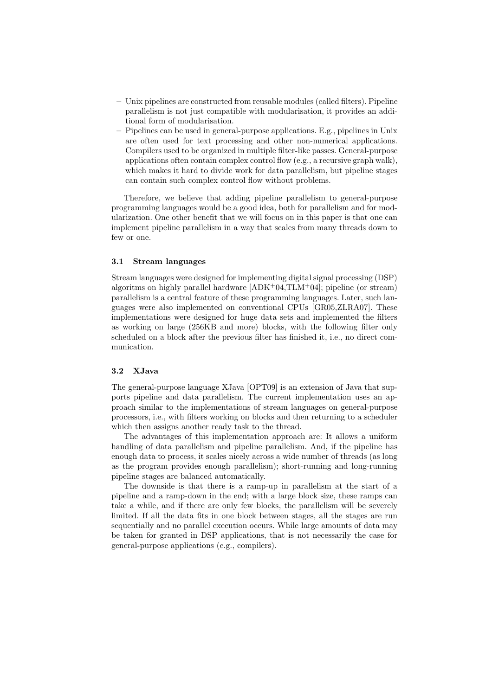- Unix pipelines are constructed from reusable modules (called filters). Pipeline parallelism is not just compatible with modularisation, it provides an additional form of modularisation.
- Pipelines can be used in general-purpose applications. E.g., pipelines in Unix are often used for text processing and other non-numerical applications. Compilers used to be organized in multiple filter-like passes. General-purpose applications often contain complex control flow (e.g., a recursive graph walk), which makes it hard to divide work for data parallelism, but pipeline stages can contain such complex control flow without problems.

Therefore, we believe that adding pipeline parallelism to general-purpose programming languages would be a good idea, both for parallelism and for modularization. One other benefit that we will focus on in this paper is that one can implement pipeline parallelism in a way that scales from many threads down to few or one.

### 3.1 Stream languages

Stream languages were designed for implementing digital signal processing (DSP) algoritms on highly parallel hardware  $[ADK^+04,TLM^+04]$ ; pipeline (or stream) parallelism is a central feature of these programming languages. Later, such languages were also implemented on conventional CPUs [GR05,ZLRA07]. These implementations were designed for huge data sets and implemented the filters as working on large (256KB and more) blocks, with the following filter only scheduled on a block after the previous filter has finished it, i.e., no direct communication.

## 3.2 XJava

The general-purpose language XJava [OPT09] is an extension of Java that supports pipeline and data parallelism. The current implementation uses an approach similar to the implementations of stream languages on general-purpose processors, i.e., with filters working on blocks and then returning to a scheduler which then assigns another ready task to the thread.

The advantages of this implementation approach are: It allows a uniform handling of data parallelism and pipeline parallelism. And, if the pipeline has enough data to process, it scales nicely across a wide number of threads (as long as the program provides enough parallelism); short-running and long-running pipeline stages are balanced automatically.

The downside is that there is a ramp-up in parallelism at the start of a pipeline and a ramp-down in the end; with a large block size, these ramps can take a while, and if there are only few blocks, the parallelism will be severely limited. If all the data fits in one block between stages, all the stages are run sequentially and no parallel execution occurs. While large amounts of data may be taken for granted in DSP applications, that is not necessarily the case for general-purpose applications (e.g., compilers).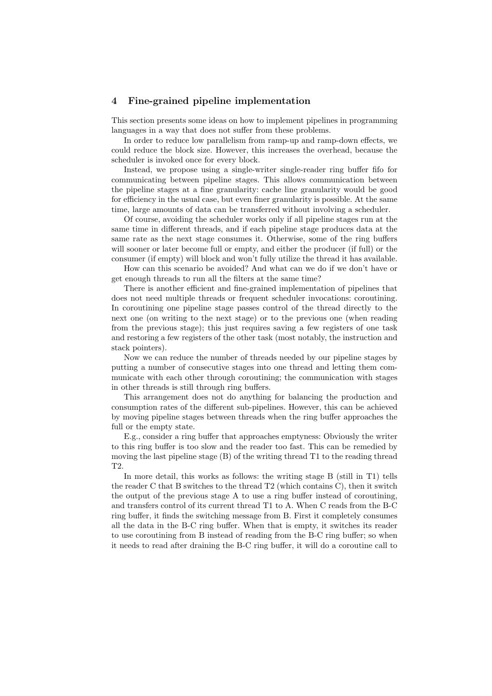## 4 Fine-grained pipeline implementation

This section presents some ideas on how to implement pipelines in programming languages in a way that does not suffer from these problems.

In order to reduce low parallelism from ramp-up and ramp-down effects, we could reduce the block size. However, this increases the overhead, because the scheduler is invoked once for every block.

Instead, we propose using a single-writer single-reader ring buffer fifo for communicating between pipeline stages. This allows communication between the pipeline stages at a fine granularity: cache line granularity would be good for efficiency in the usual case, but even finer granularity is possible. At the same time, large amounts of data can be transferred without involving a scheduler.

Of course, avoiding the scheduler works only if all pipeline stages run at the same time in different threads, and if each pipeline stage produces data at the same rate as the next stage consumes it. Otherwise, some of the ring buffers will sooner or later become full or empty, and either the producer (if full) or the consumer (if empty) will block and won't fully utilize the thread it has available.

How can this scenario be avoided? And what can we do if we don't have or get enough threads to run all the filters at the same time?

There is another efficient and fine-grained implementation of pipelines that does not need multiple threads or frequent scheduler invocations: coroutining. In coroutining one pipeline stage passes control of the thread directly to the next one (on writing to the next stage) or to the previous one (when reading from the previous stage); this just requires saving a few registers of one task and restoring a few registers of the other task (most notably, the instruction and stack pointers).

Now we can reduce the number of threads needed by our pipeline stages by putting a number of consecutive stages into one thread and letting them communicate with each other through coroutining; the communication with stages in other threads is still through ring buffers.

This arrangement does not do anything for balancing the production and consumption rates of the different sub-pipelines. However, this can be achieved by moving pipeline stages between threads when the ring buffer approaches the full or the empty state.

E.g., consider a ring buffer that approaches emptyness: Obviously the writer to this ring buffer is too slow and the reader too fast. This can be remedied by moving the last pipeline stage (B) of the writing thread T1 to the reading thread T2.

In more detail, this works as follows: the writing stage B (still in T1) tells the reader C that B switches to the thread T2 (which contains C), then it switch the output of the previous stage A to use a ring buffer instead of coroutining, and transfers control of its current thread T1 to A. When C reads from the B-C ring buffer, it finds the switching message from B. First it completely consumes all the data in the B-C ring buffer. When that is empty, it switches its reader to use coroutining from B instead of reading from the B-C ring buffer; so when it needs to read after draining the B-C ring buffer, it will do a coroutine call to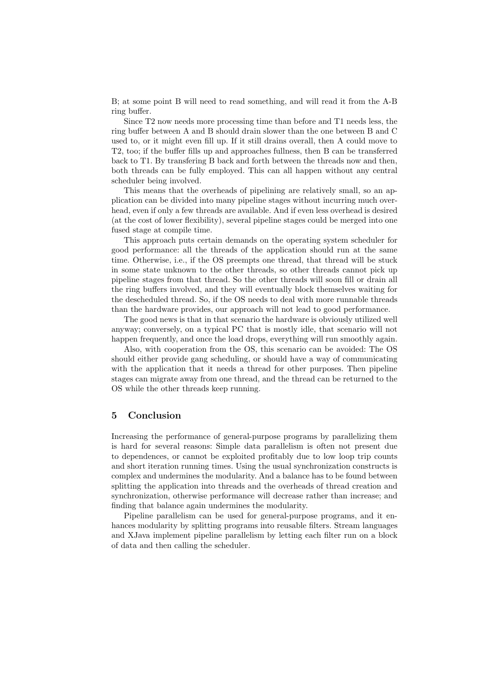B; at some point B will need to read something, and will read it from the A-B ring buffer.

Since T2 now needs more processing time than before and T1 needs less, the ring buffer between A and B should drain slower than the one between B and C used to, or it might even fill up. If it still drains overall, then A could move to T2, too; if the buffer fills up and approaches fullness, then B can be transferred back to T1. By transfering B back and forth between the threads now and then, both threads can be fully employed. This can all happen without any central scheduler being involved.

This means that the overheads of pipelining are relatively small, so an application can be divided into many pipeline stages without incurring much overhead, even if only a few threads are available. And if even less overhead is desired (at the cost of lower flexibility), several pipeline stages could be merged into one fused stage at compile time.

This approach puts certain demands on the operating system scheduler for good performance: all the threads of the application should run at the same time. Otherwise, i.e., if the OS preempts one thread, that thread will be stuck in some state unknown to the other threads, so other threads cannot pick up pipeline stages from that thread. So the other threads will soon fill or drain all the ring buffers involved, and they will eventually block themselves waiting for the descheduled thread. So, if the OS needs to deal with more runnable threads than the hardware provides, our approach will not lead to good performance.

The good news is that in that scenario the hardware is obviously utilized well anyway; conversely, on a typical PC that is mostly idle, that scenario will not happen frequently, and once the load drops, everything will run smoothly again.

Also, with cooperation from the OS, this scenario can be avoided: The OS should either provide gang scheduling, or should have a way of communicating with the application that it needs a thread for other purposes. Then pipeline stages can migrate away from one thread, and the thread can be returned to the OS while the other threads keep running.

# 5 Conclusion

Increasing the performance of general-purpose programs by parallelizing them is hard for several reasons: Simple data parallelism is often not present due to dependences, or cannot be exploited profitably due to low loop trip counts and short iteration running times. Using the usual synchronization constructs is complex and undermines the modularity. And a balance has to be found between splitting the application into threads and the overheads of thread creation and synchronization, otherwise performance will decrease rather than increase; and finding that balance again undermines the modularity.

Pipeline parallelism can be used for general-purpose programs, and it enhances modularity by splitting programs into reusable filters. Stream languages and XJava implement pipeline parallelism by letting each filter run on a block of data and then calling the scheduler.